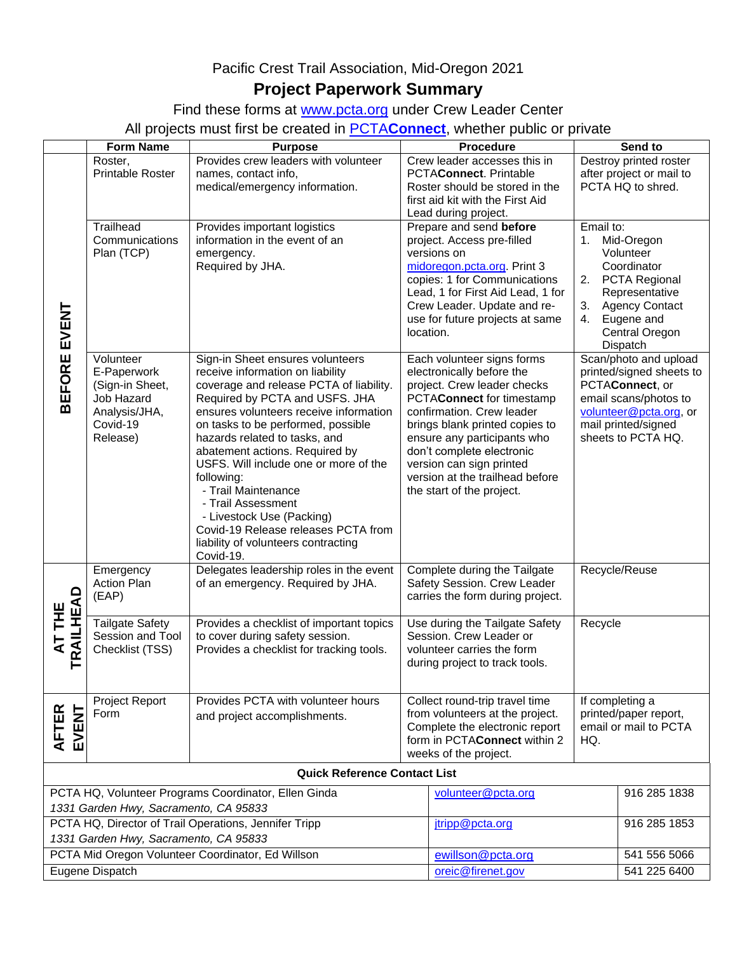## Pacific Crest Trail Association, Mid-Oregon 2021 **Project Paperwork Summary**

Find these forms at [www.pcta.org](http://www.pcta.org/) under Crew Leader Center

All projects must first be created in PCTA**[Connect](https://connect.pcta.org/volunteer/s/)**, whether public or private

|                                                                                                | <b>Form Name</b>                           | <b>Purpose</b>                                                               |                                                           | <b>Procedure</b>                                               |                                                | Send to                                            |  |
|------------------------------------------------------------------------------------------------|--------------------------------------------|------------------------------------------------------------------------------|-----------------------------------------------------------|----------------------------------------------------------------|------------------------------------------------|----------------------------------------------------|--|
|                                                                                                | Roster,<br><b>Printable Roster</b>         | Provides crew leaders with volunteer<br>names, contact info,                 |                                                           | Crew leader accesses this in<br>PCTAConnect. Printable         |                                                | Destroy printed roster<br>after project or mail to |  |
|                                                                                                |                                            | medical/emergency information.                                               | Roster should be stored in the                            |                                                                | PCTA HQ to shred.                              |                                                    |  |
|                                                                                                |                                            |                                                                              |                                                           | first aid kit with the First Aid                               |                                                |                                                    |  |
|                                                                                                |                                            |                                                                              |                                                           | Lead during project.                                           |                                                |                                                    |  |
|                                                                                                | Trailhead                                  | Provides important logistics                                                 |                                                           | Prepare and send before                                        | Email to:                                      |                                                    |  |
|                                                                                                | Communications<br>Plan (TCP)               | information in the event of an<br>emergency.                                 |                                                           | project. Access pre-filled<br>versions on                      |                                                | Mid-Oregon<br>1.<br>Volunteer                      |  |
|                                                                                                |                                            | Required by JHA.                                                             |                                                           | midoregon.pcta.org. Print 3                                    |                                                | Coordinator                                        |  |
|                                                                                                |                                            |                                                                              |                                                           | copies: 1 for Communications                                   |                                                | 2. PCTA Regional                                   |  |
|                                                                                                |                                            |                                                                              |                                                           | Lead, 1 for First Aid Lead, 1 for                              |                                                | Representative                                     |  |
|                                                                                                |                                            |                                                                              |                                                           | Crew Leader. Update and re-                                    |                                                | 3. Agency Contact                                  |  |
|                                                                                                |                                            |                                                                              |                                                           | use for future projects at same<br>location.                   |                                                | 4. Eugene and<br>Central Oregon                    |  |
| BEFORE EVENT                                                                                   |                                            |                                                                              |                                                           |                                                                |                                                | Dispatch                                           |  |
|                                                                                                | Volunteer                                  | Sign-in Sheet ensures volunteers                                             |                                                           | Each volunteer signs forms                                     |                                                | Scan/photo and upload                              |  |
|                                                                                                | E-Paperwork                                | receive information on liability                                             |                                                           | electronically before the                                      |                                                | printed/signed sheets to                           |  |
|                                                                                                | (Sign-in Sheet,                            | coverage and release PCTA of liability.                                      | project. Crew leader checks                               |                                                                | PCTAConnect, or                                |                                                    |  |
|                                                                                                | <b>Job Hazard</b>                          | Required by PCTA and USFS. JHA                                               |                                                           | PCTAConnect for timestamp                                      |                                                | email scans/photos to                              |  |
|                                                                                                | Analysis/JHA,<br>Covid-19                  | ensures volunteers receive information<br>on tasks to be performed, possible |                                                           | confirmation. Crew leader<br>brings blank printed copies to    |                                                | volunteer@pcta.org, or<br>mail printed/signed      |  |
|                                                                                                | Release)                                   | hazards related to tasks, and                                                |                                                           | ensure any participants who                                    |                                                | sheets to PCTA HQ.                                 |  |
|                                                                                                |                                            | abatement actions. Required by                                               |                                                           | don't complete electronic<br>version can sign printed          |                                                |                                                    |  |
|                                                                                                |                                            | USFS. Will include one or more of the                                        |                                                           |                                                                |                                                |                                                    |  |
|                                                                                                |                                            | following:<br>- Trail Maintenance                                            |                                                           | version at the trailhead before                                |                                                |                                                    |  |
|                                                                                                |                                            | - Trail Assessment                                                           |                                                           | the start of the project.                                      |                                                |                                                    |  |
|                                                                                                |                                            | - Livestock Use (Packing)                                                    |                                                           |                                                                |                                                |                                                    |  |
|                                                                                                |                                            | Covid-19 Release releases PCTA from                                          |                                                           |                                                                |                                                |                                                    |  |
|                                                                                                |                                            | liability of volunteers contracting                                          |                                                           |                                                                |                                                |                                                    |  |
|                                                                                                | Emergency                                  | Covid-19.<br>Delegates leadership roles in the event                         |                                                           | Complete during the Tailgate                                   |                                                |                                                    |  |
|                                                                                                | <b>Action Plan</b>                         | of an emergency. Required by JHA.                                            |                                                           | Recycle/Reuse<br>Safety Session. Crew Leader                   |                                                |                                                    |  |
|                                                                                                | (EAP)                                      |                                                                              |                                                           | carries the form during project.                               |                                                |                                                    |  |
| <b>TRAILHEAD</b><br>AT THE                                                                     |                                            |                                                                              |                                                           |                                                                |                                                |                                                    |  |
|                                                                                                | <b>Tailgate Safety</b><br>Session and Tool | Provides a checklist of important topics<br>to cover during safety session.  | Use during the Tailgate Safety<br>Session. Crew Leader or |                                                                | Recycle                                        |                                                    |  |
|                                                                                                | Checklist (TSS)                            | Provides a checklist for tracking tools.                                     |                                                           | volunteer carries the form                                     |                                                |                                                    |  |
|                                                                                                |                                            |                                                                              | during project to track tools.                            |                                                                |                                                |                                                    |  |
|                                                                                                |                                            |                                                                              |                                                           |                                                                |                                                |                                                    |  |
|                                                                                                | Project Report                             | Provides PCTA with volunteer hours                                           |                                                           | Collect round-trip travel time                                 | If completing a                                |                                                    |  |
| <b>AFTER</b><br>EVENT                                                                          | Form                                       | and project accomplishments.                                                 | from volunteers at the project.                           |                                                                | printed/paper report,<br>email or mail to PCTA |                                                    |  |
|                                                                                                |                                            |                                                                              |                                                           | Complete the electronic report<br>form in PCTAConnect within 2 |                                                | HQ.                                                |  |
|                                                                                                |                                            |                                                                              |                                                           | weeks of the project.                                          |                                                |                                                    |  |
| <b>Quick Reference Contact List</b>                                                            |                                            |                                                                              |                                                           |                                                                |                                                |                                                    |  |
| PCTA HQ, Volunteer Programs Coordinator, Ellen Ginda                                           |                                            |                                                                              |                                                           | volunteer@pcta.org                                             | 916 285 1838                                   |                                                    |  |
| 1331 Garden Hwy, Sacramento, CA 95833                                                          |                                            |                                                                              |                                                           |                                                                |                                                |                                                    |  |
| PCTA HQ, Director of Trail Operations, Jennifer Tripp<br>1331 Garden Hwy, Sacramento, CA 95833 |                                            |                                                                              |                                                           | jtripp@pcta.org                                                |                                                | 916 285 1853                                       |  |
|                                                                                                |                                            |                                                                              | ewillson@pcta.org                                         |                                                                | 541 556 5066                                   |                                                    |  |
| PCTA Mid Oregon Volunteer Coordinator, Ed Willson                                              |                                            |                                                                              |                                                           | oreic@firenet.gov                                              |                                                | 541 225 6400                                       |  |
| Eugene Dispatch                                                                                |                                            |                                                                              |                                                           |                                                                |                                                |                                                    |  |